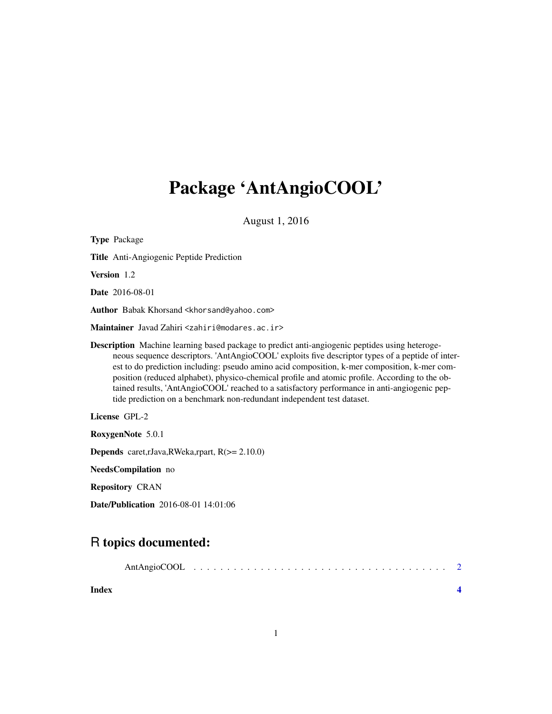## Package 'AntAngioCOOL'

August 1, 2016

| <b>Type Package</b>                                                                                                                                                                                                                                                                                                                                                                                                                                                                                                                                                                   |
|---------------------------------------------------------------------------------------------------------------------------------------------------------------------------------------------------------------------------------------------------------------------------------------------------------------------------------------------------------------------------------------------------------------------------------------------------------------------------------------------------------------------------------------------------------------------------------------|
| <b>Title</b> Anti-Angiogenic Peptide Prediction                                                                                                                                                                                                                                                                                                                                                                                                                                                                                                                                       |
| Version 1.2                                                                                                                                                                                                                                                                                                                                                                                                                                                                                                                                                                           |
| <b>Date</b> 2016-08-01                                                                                                                                                                                                                                                                                                                                                                                                                                                                                                                                                                |
| Author Babak Khorsand <khorsand@yahoo.com></khorsand@yahoo.com>                                                                                                                                                                                                                                                                                                                                                                                                                                                                                                                       |
| M <b>aintainer</b> Javad Zahiri <zahiri@modares.ac.ir></zahiri@modares.ac.ir>                                                                                                                                                                                                                                                                                                                                                                                                                                                                                                         |
| <b>Description</b> Machine learning based package to predict anti-angiogenic peptides using heteroge-<br>neous sequence descriptors. 'AntAngioCOOL' exploits five descriptor types of a peptide of inter-<br>est to do prediction including: pseudo amino acid composition, k-mer composition, k-mer com-<br>position (reduced alphabet), physico-chemical profile and atomic profile. According to the ob-<br>tained results, 'AntAngioCOOL' reached to a satisfactory performance in anti-angiogenic pep-<br>tide prediction on a benchmark non-redundant independent test dataset. |
| License GPL-2                                                                                                                                                                                                                                                                                                                                                                                                                                                                                                                                                                         |
| RoxygenNote 5.0.1                                                                                                                                                                                                                                                                                                                                                                                                                                                                                                                                                                     |
| <b>Depends</b> caret, rJava, RWeka, rpart, $R$ ( $>=$ 2.10.0)                                                                                                                                                                                                                                                                                                                                                                                                                                                                                                                         |
| NeedsCompilation no                                                                                                                                                                                                                                                                                                                                                                                                                                                                                                                                                                   |
| <b>Repository CRAN</b>                                                                                                                                                                                                                                                                                                                                                                                                                                                                                                                                                                |
| Date/Publication 2016-08-01 14:01:06                                                                                                                                                                                                                                                                                                                                                                                                                                                                                                                                                  |

### R topics documented:

| Index |  |  |  |  |  |  |  |  |  |  |  |
|-------|--|--|--|--|--|--|--|--|--|--|--|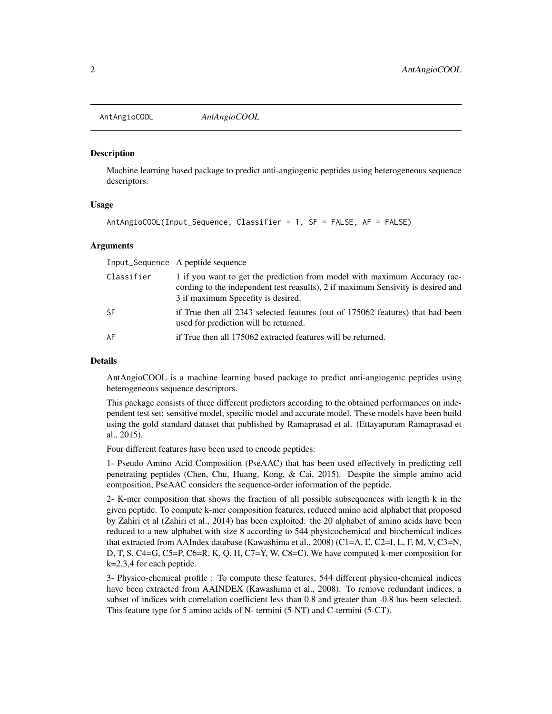<span id="page-1-0"></span>AntAngioCOOL *AntAngioCOOL*

#### Description

Machine learning based package to predict anti-angiogenic peptides using heterogeneous sequence descriptors.

#### Usage

```
AntAngioCOOL(Input_Sequence, Classifier = 1, SF = FALSE, AF = FALSE)
```
#### Arguments

|            | Input_Sequence A peptide sequence                                                                                                                                                                   |
|------------|-----------------------------------------------------------------------------------------------------------------------------------------------------------------------------------------------------|
| Classifier | 1 if you want to get the prediction from model with maximum Accuracy (ac-<br>cording to the independent test reasults), 2 if maximum Sensivity is desired and<br>3 if maximum Specefity is desired. |
| <b>SF</b>  | if True then all 2343 selected features (out of 175062 features) that had been<br>used for prediction will be returned.                                                                             |
| AF         | if True then all 175062 extracted features will be returned.                                                                                                                                        |

#### Details

AntAngioCOOL is a machine learning based package to predict anti-angiogenic peptides using heterogeneous sequence descriptors.

This package consists of three different predictors according to the obtained performances on independent test set: sensitive model, specific model and accurate model. These models have been build using the gold standard dataset that published by Ramaprasad et al. (Ettayapuram Ramaprasad et al., 2015).

Four different features have been used to encode peptides:

1- Pseudo Amino Acid Composition (PseAAC) that has been used effectively in predicting cell penetrating peptides (Chen, Chu, Huang, Kong, & Cai, 2015). Despite the simple amino acid composition, PseAAC considers the sequence-order information of the peptide.

2- K-mer composition that shows the fraction of all possible subsequences with length k in the given peptide. To compute k-mer composition features, reduced amino acid alphabet that proposed by Zahiri et al (Zahiri et al., 2014) has been exploited: the 20 alphabet of amino acids have been reduced to a new alphabet with size 8 according to 544 physicochemical and biochemical indices that extracted from AAIndex database (Kawashima et al., 2008) (C1=A, E, C2=I, L, F, M, V, C3=N, D, T, S, C4=G, C5=P, C6=R, K, Q, H, C7=Y, W, C8=C). We have computed k-mer composition for k=2,3,4 for each peptide.

3- Physico-chemical profile : To compute these features, 544 different physico-chemical indices have been extracted from AAINDEX (Kawashima et al., 2008). To remove redundant indices, a subset of indices with correlation coefficient less than 0.8 and greater than -0.8 has been selected. This feature type for 5 amino acids of N- termini (5-NT) and C-termini (5-CT).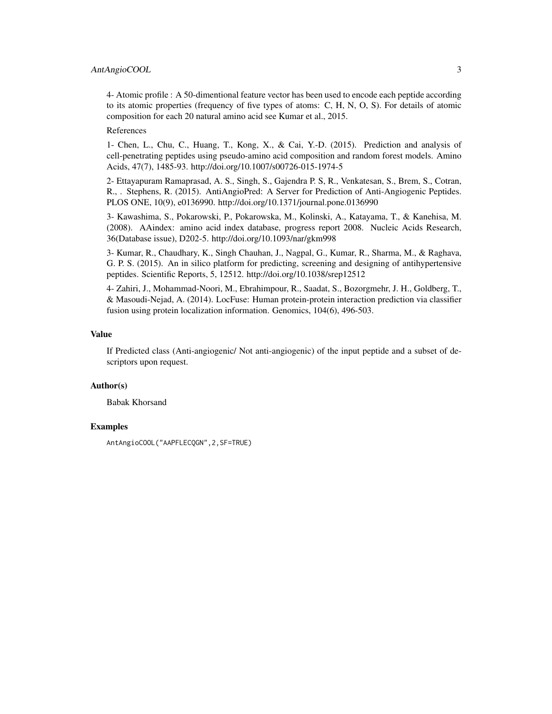#### AntAngioCOOL 3

4- Atomic profile : A 50-dimentional feature vector has been used to encode each peptide according to its atomic properties (frequency of five types of atoms: C, H, N, O, S). For details of atomic composition for each 20 natural amino acid see Kumar et al., 2015.

#### References

1- Chen, L., Chu, C., Huang, T., Kong, X., & Cai, Y.-D. (2015). Prediction and analysis of cell-penetrating peptides using pseudo-amino acid composition and random forest models. Amino Acids, 47(7), 1485-93. http://doi.org/10.1007/s00726-015-1974-5

2- Ettayapuram Ramaprasad, A. S., Singh, S., Gajendra P. S, R., Venkatesan, S., Brem, S., Cotran, R., . Stephens, R. (2015). AntiAngioPred: A Server for Prediction of Anti-Angiogenic Peptides. PLOS ONE, 10(9), e0136990. http://doi.org/10.1371/journal.pone.0136990

3- Kawashima, S., Pokarowski, P., Pokarowska, M., Kolinski, A., Katayama, T., & Kanehisa, M. (2008). AAindex: amino acid index database, progress report 2008. Nucleic Acids Research, 36(Database issue), D202-5. http://doi.org/10.1093/nar/gkm998

3- Kumar, R., Chaudhary, K., Singh Chauhan, J., Nagpal, G., Kumar, R., Sharma, M., & Raghava, G. P. S. (2015). An in silico platform for predicting, screening and designing of antihypertensive peptides. Scientific Reports, 5, 12512. http://doi.org/10.1038/srep12512

4- Zahiri, J., Mohammad-Noori, M., Ebrahimpour, R., Saadat, S., Bozorgmehr, J. H., Goldberg, T., & Masoudi-Nejad, A. (2014). LocFuse: Human protein-protein interaction prediction via classifier fusion using protein localization information. Genomics, 104(6), 496-503.

#### Value

If Predicted class (Anti-angiogenic/ Not anti-angiogenic) of the input peptide and a subset of descriptors upon request.

#### Author(s)

Babak Khorsand

#### **Examples**

```
AntAngioCOOL("AAPFLECQGN",2,SF=TRUE)
```